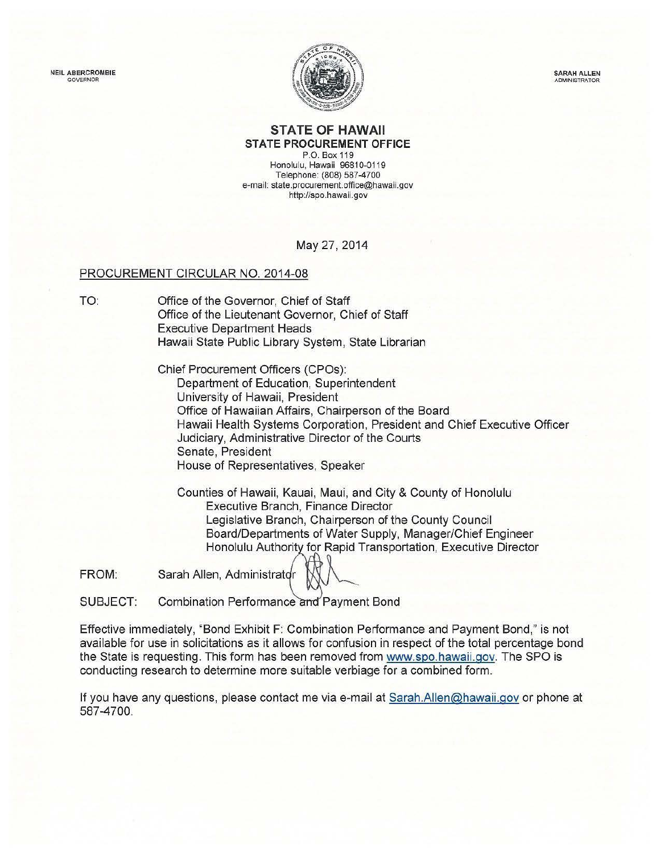NEIL ABERCROMBIE GOVERNOR

TO:



SARAH ALLEN ADMINISTRATOR

## **STATE OF HAWAII STATE PROCUREMENT OFFICE**

P.O. Box 119 Honolulu, Hawaii 96810-0119 Telephone: (808) 587-4700 e-mail: state.procurement.office@hawaii.gov http://spo. hawaii. gov

## May 27, 2014

### PROCUREMENT CIRCULAR NO. 2014-08

Office of the Governor, Chief of Staff Office of the Lieutenant Governor, Chief of Staff Executive Department Heads Hawaii State Public Library System, State Librarian

> Chief Procurement Officers (CPOs): Department of Education, Superintendent University of Hawaii, President Office of Hawaiian Affairs, Chairperson of the Board Hawaii Health Systems Corporation, President and Chief Executive Officer Judiciary, Administrative Director of the Courts Senate, President House of Representatives, Speaker

Counties of Hawaii, Kauai, Maui, and City & County of Honolulu Executive Branch, Finance Director Legislative Branch, Chairperson of the County Council Board/Departments of Water Supply, Manager/Chief Engineer Honolulu Authority for Rapid Transportation, Executive Director

FROM: Sarah Allen, Administrator

SUBJECT: Combination Performance and Payment Bond

Effective immediately, "Bond Exhibit **F:** Combination Performance and Payment Bond," is not available for use in solicitations as it allows for confusion in respect of the total percentage bond the State is requesting. This form has been removed from www.spo.hawaii.gov. The SPO is conducting research to determine more suitable verbiage for a combined form.

If you have any questions, please contact me via e-mail at Sarah.Allen@hawaii.gov or phone at 587-4700.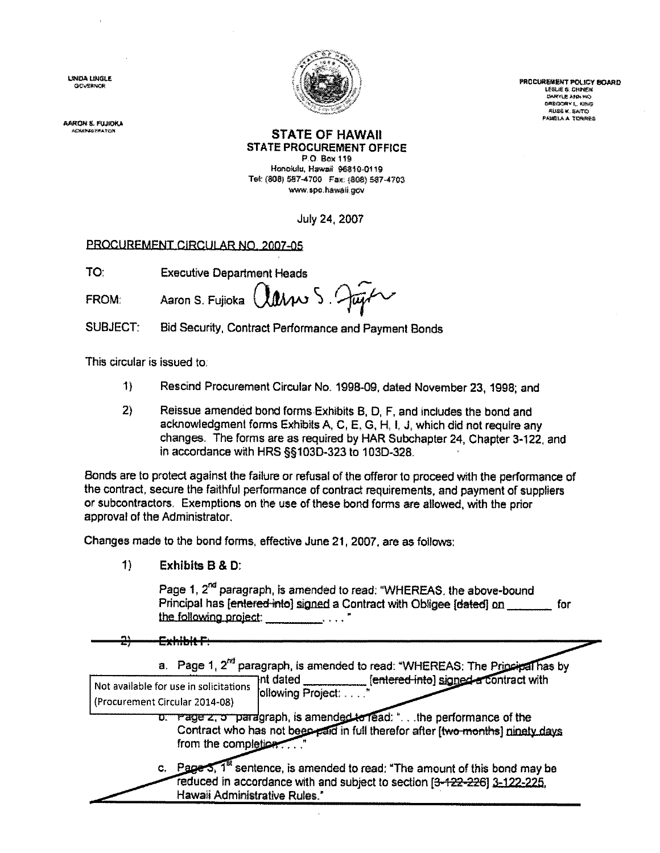**LORIA LINGLE** GOVERNOR



**PROCUREMENT POLICY BOARD** LEELIE & CHINEIK **UNRYLE ANN MO GREGORY L. KING RUSS K. SAITO PANKLA A TORRES** 

.<br>AARON S. PUJKIKA

### **STATE OF HAWAII STATE PROCUREMENT OFFICE**

P.O. Box 119 Honolulu, Hawaii 96810-0119 Tel: (808) 587-4700 Fax: (808) 587-4703 www.spo.hawall.gov

July 24, 2007

# PROCUREMENT CIRCULAR NO. 2007-05

**Executive Department Heads** TO:

Clarres Just Aaron S. Fujioka FROM:

**SUBJECT:** Bid Security, Contract Performance and Payment Bonds

This circular is issued to:

- $1)$ Rescind Procurement Circular No. 1998-09, dated November 23, 1998; and
- $2)$ Reissue amended bond forms Exhibits B, D, F, and includes the bond and acknowledgment forms Exhibits A, C, E, G, H, I, J, which did not require any changes. The forms are as required by HAR Subchapter 24, Chapter 3-122, and in accordance with HRS §§103D-323 to 103D-328.

Bonds are to protect against the failure or refusal of the offeror to proceed with the performance of the contract, secure the faithful performance of contract requirements, and payment of suppliers or subcontractors. Exemptions on the use of these bond forms are allowed, with the prior approval of the Administrator.

Changes made to the bond forms, effective June 21, 2007, are as follows:

 $\uparrow$ Exhibits B & D:

> Page 1, 2<sup>nd</sup> paragraph, is amended to read: "WHEREAS, the above-bound Principal has [entered-into] signed a Contract with Obligee [dated] on for the following project:

<del>Exhibit F</del>

|                                                                          | a. Page 1, 2 <sup>nd</sup> paragraph, is amended to read: "WHEREAS: The Principal has by                                                                         |
|--------------------------------------------------------------------------|------------------------------------------------------------------------------------------------------------------------------------------------------------------|
| Not available for use in solicitations<br>(Procurement Circular 2014-08) | [entered-into] signed a contract with<br>าnt dated<br>ollowing Project:                                                                                          |
| from the completion                                                      | o. Page z, o paragraph, is amended to read: " the performance of the<br>Contract who has not been paid in full therefor after [two-months] ninety days           |
| Hawaii Administrative Rules."                                            | c. Page 5, $1^{\circ}$ sentence, is amended to read: "The amount of this bond may be<br>reduced in accordance with and subject to section [3-122-226] 3-122-225. |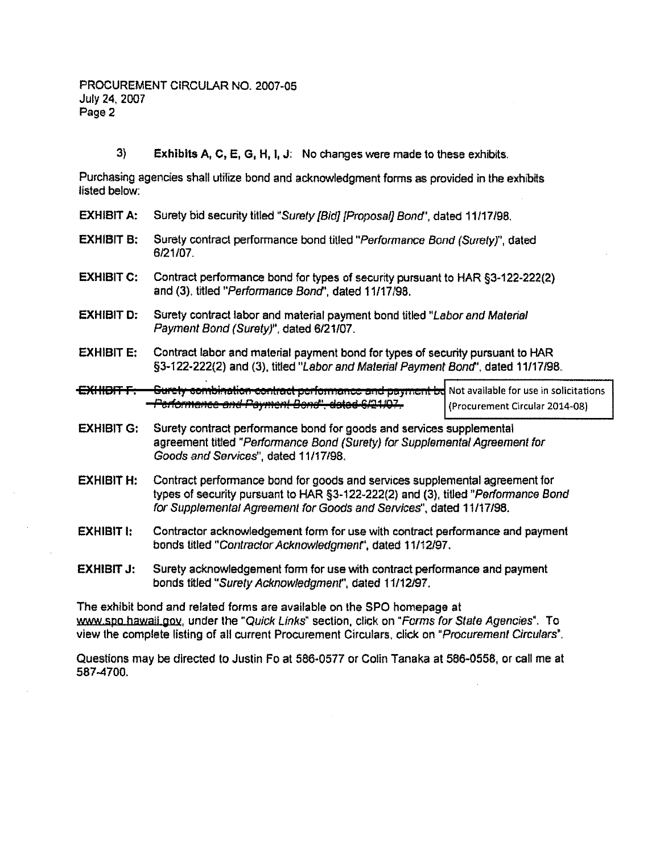$3)$ Exhibits A, C, E, G, H, I, J: No changes were made to these exhibits.

Purchasing agencies shall utilize bond and acknowledgment forms as provided in the exhibits listed below:

- **EXHIBIT A:** Surety bid security titled "Surety [Bid] [Proposal] Bond", dated 11/17/98.
- **EXHIBIT B:** Surety contract performance bond titled "Performance Bond (Surety)", dated 6/21/07.
- **EXHIBIT C:** Contract performance bond for types of security pursuant to HAR §3-122-222(2) and (3), titled "Performance Bond", dated 11/17/98.
- **EXHIBIT D:** Surety contract labor and material payment bond titled "Labor and Material Payment Bond (Surety)", dated 6/21/07.
- **EXHIBIT E:** Contract labor and material payment bond for types of security pursuant to HAR §3-122-222(2) and (3), titled "Labor and Material Payment Bond", dated 11/17/98.
- <del>OW HOT F.</del> **Gurety combination contract performance and payment be** Not available for use in solicitations -Performance and Payment Bond", dated 6/21/07-(Procurement Circular 2014-08)
- **EXHIBIT G:** Surety contract performance bond for goods and services supplemental agreement titled "Performance Bond (Surety) for Supplemental Agreement for Goods and Services", dated 11/17/98.
- **EXHIBIT H:** Contract performance bond for goods and services supplemental agreement for types of security pursuant to HAR §3-122-222(2) and (3), titled "Performance Bond for Supplemental Agreement for Goods and Services", dated 11/17/98.
- **EXHIBIT I:** Contractor acknowledgement form for use with contract performance and payment bonds titled "Contractor Acknowledgment", dated 11/12/97.
- Surety acknowledgement form for use with contract performance and payment **EXHIBIT J:** bonds titled "Surety Acknowledgment", dated 11/12/97.

The exhibit bond and related forms are available on the SPO homepage at www.spo.hawail.gov, under the "Quick Links" section, click on "Forms for State Agencies". To view the complete listing of all current Procurement Circulars, click on "Procurement Circulars".

Questions may be directed to Justin Fo at 586-0577 or Colin Tanaka at 586-0558, or call me at 587-4700.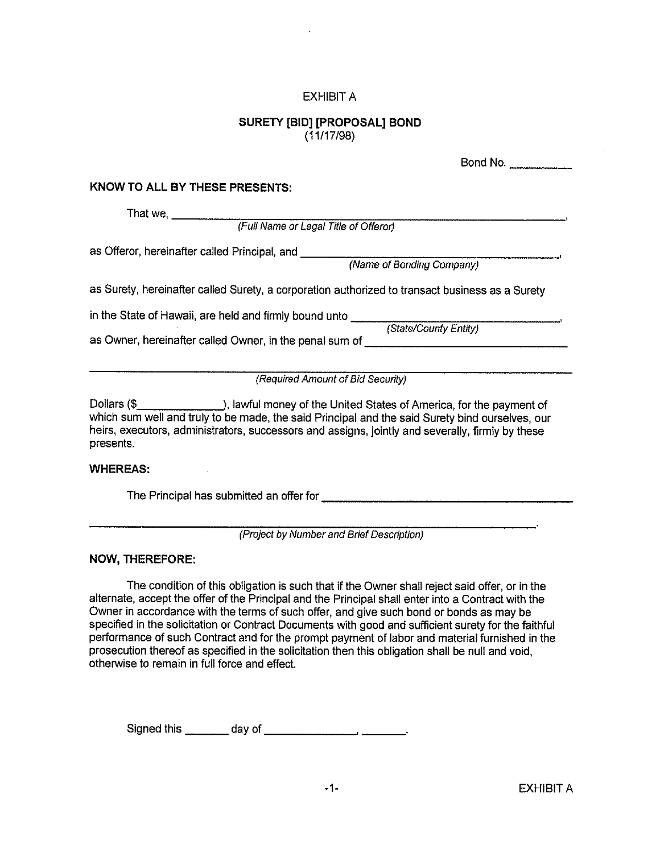## **EXHIBIT A**

# **SURETY [BID] [PROPOSAL] BOND**  $(11/17/98)$

|                                                                                                                   | Bond No.                  |
|-------------------------------------------------------------------------------------------------------------------|---------------------------|
| KNOW TO ALL BY THESE PRESENTS:                                                                                    |                           |
| That we,<br>(Full Name or Legal Title of Offeror)                                                                 |                           |
| as Offeror, hereinafter called Principal, and ___                                                                 | (Name of Bonding Company) |
| as Surety, hereinafter called Surety, a corporation authorized to transact business as a Surety                   |                           |
| in the State of Hawaii, are held and firmly bound unto<br>as Owner, hereinafter called Owner, in the penal sum of | (State/County Entity)     |
| (Required Amount of Bid Security)                                                                                 |                           |

Dollars (\$\_\_\_\_\_\_\_\_\_\_\_\_\_\_\_\_\_\_), lawful money of the United States of America, for the payment of which sum well and truly to be made, the said Principal and the said Surety bind ourselves, our heirs, executors, administrators, successors and assigns, jointly and severally, firmly by these presents.

#### **WHEREAS:**

The Principal has submitted an offer for **contract the Principal** 

(Project by Number and Brief Description)

## **NOW, THEREFORE:**

The condition of this obligation is such that if the Owner shall reject said offer, or in the alternate, accept the offer of the Principal and the Principal shall enter into a Contract with the Owner in accordance with the terms of such offer, and give such bond or bonds as may be specified in the solicitation or Contract Documents with good and sufficient surety for the faithful performance of such Contract and for the prompt payment of labor and material furnished in the prosecution thereof as specified in the solicitation then this obligation shall be null and void. otherwise to remain in full force and effect.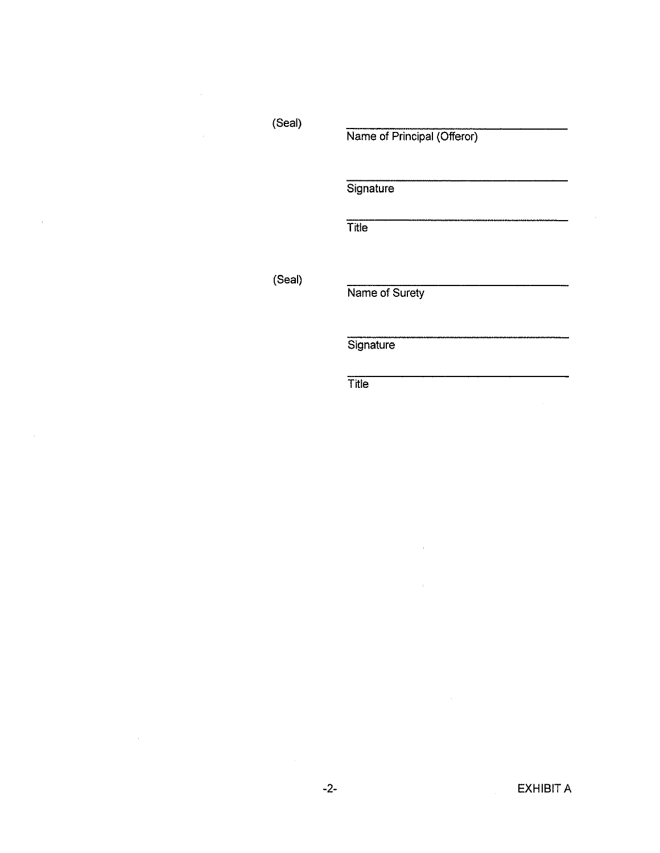(Seal)

 $\bar{z}$ 

 $\mathcal{L}_{\mathcal{A}}$ 

 $\sim$ 

 $\sim 10^7$ 

Name of Principal (Offeror)

Signature

 $\overline{T}$ itle

(Seal)

Name of Surety

 $\bar{z}$ 

 $\bar{a}$ 

Signature

 $\overline{T}$ itle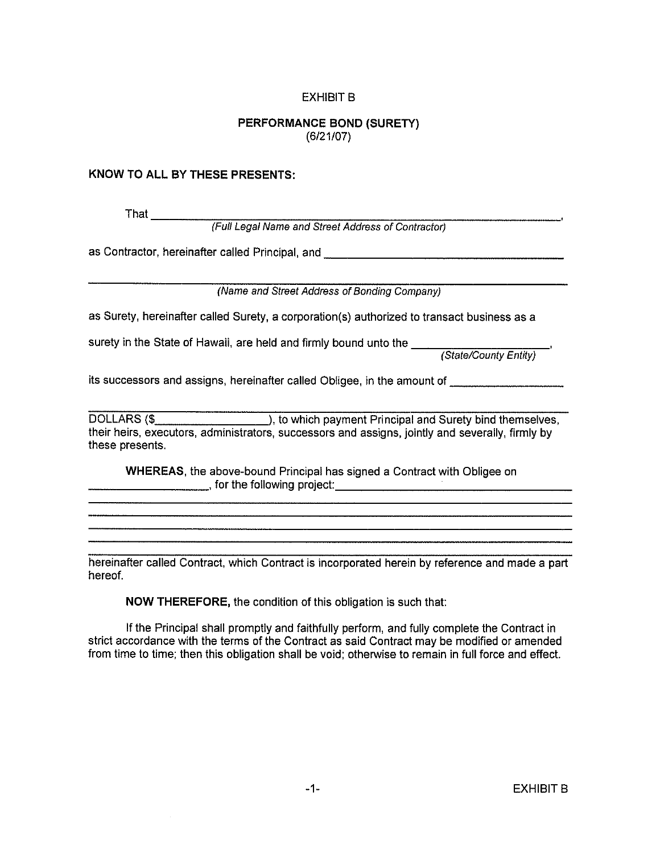# **EXHIBIT B**

# PERFORMANCE BOND (SURETY)  $(6/21/07)$

## KNOW TO ALL BY THESE PRESENTS:

That \_\_\_\_\_\_\_\_

(Full Legal Name and Street Address of Contractor)

as Contractor, hereinafter called Principal, and \_\_\_\_\_\_\_\_\_\_\_\_\_\_\_\_\_\_\_\_\_\_\_\_\_\_\_\_\_\_\_

(Name and Street Address of Bonding Company)

as Surety, hereinafter called Surety, a corporation(s) authorized to transact business as a

its successors and assigns, hereinafter called Obligee, in the amount of

their heirs, executors, administrators, successors and assigns, jointly and severally, firmly by these presents.

WHEREAS, the above-bound Principal has signed a Contract with Obligee on **Example 2018** of the following project:

hereinafter called Contract, which Contract is incorporated herein by reference and made a part hereof.

NOW THEREFORE, the condition of this obligation is such that:

If the Principal shall promptly and faithfully perform, and fully complete the Contract in strict accordance with the terms of the Contract as said Contract may be modified or amended from time to time; then this obligation shall be void; otherwise to remain in full force and effect.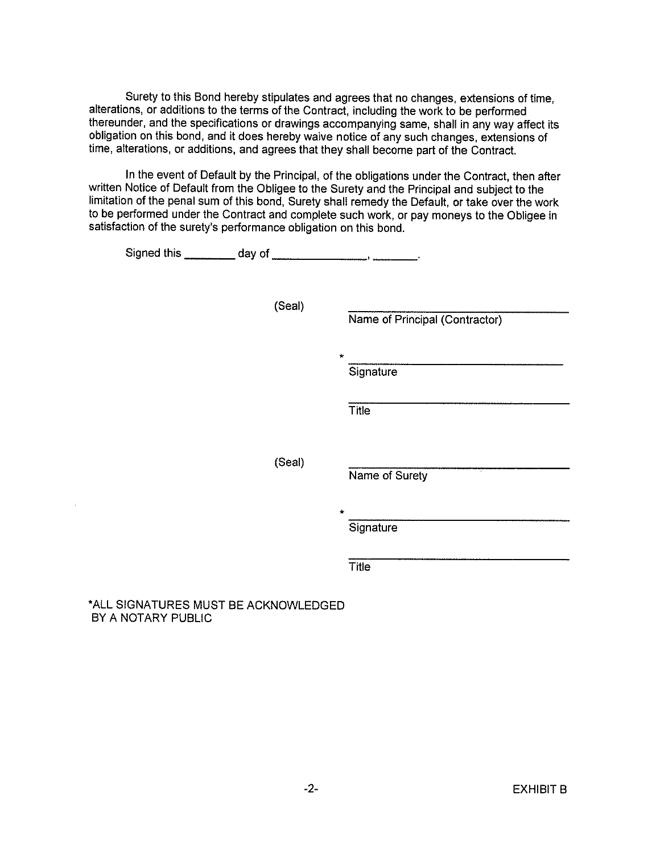Surety to this Bond hereby stipulates and agrees that no changes, extensions of time, alterations, or additions to the terms of the Contract, including the work to be performed thereunder, and the specifications or drawings accompanying same, shall in any way affect its obligation on this bond, and it does hereby waive notice of any such changes, extensions of time, alterations, or additions, and agrees that they shall become part of the Contract.

In the event of Default by the Principal, of the obligations under the Contract, then after written Notice of Default from the Obligee to the Surety and the Principal and subject to the limitation of the penal sum of this bond, Surety shall remedy the Default, or take over the work to be performed under the Contract and complete such work, or pay moneys to the Obligee in satisfaction of the surety's performance obligation on this bond.

| (Seal) | Name of Principal (Contractor)       |
|--------|--------------------------------------|
|        | $\star$<br>Signature<br><b>Title</b> |
| (Seal) | u.<br>Name of Surety                 |
|        | *<br>Signature                       |
|        | Title                                |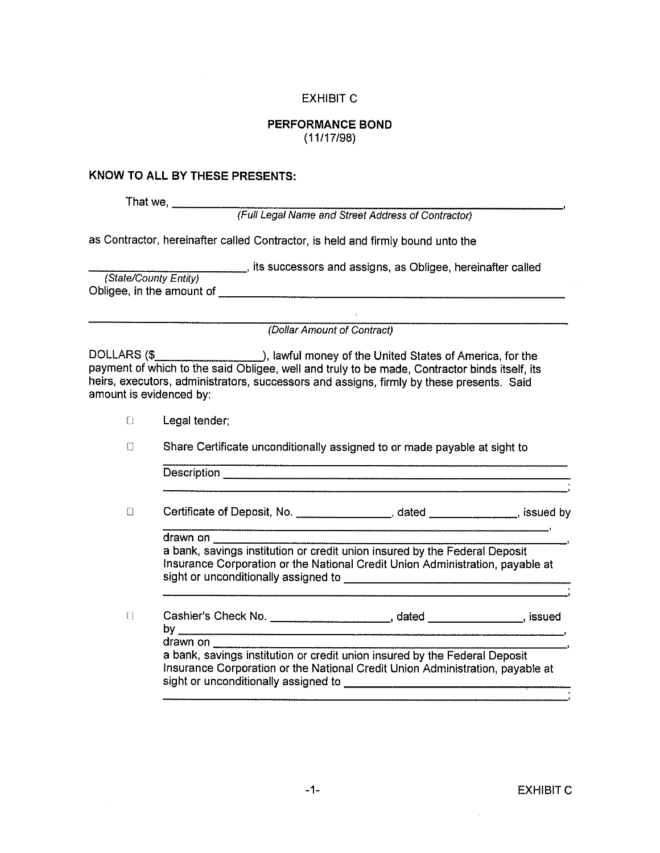# **EXHIBIT C**

## **PERFORMANCE BOND**  $(11/17/98)$

#### KNOW TO ALL BY THESE PRESENTS:

That we,

(Full Legal Name and Street Address of Contractor)

as Contractor, hereinafter called Contractor, is held and firmly bound unto the

its successors and assigns, as Obligee, hereinafter called (State/County Entity) Obligee, in the amount of the state of the state of the state of the state of the state of the state of the state of the state of the state of the state of the state of the state of the state of the state of the state of t

(Dollar Amount of Contract)

DOLLARS (\$ payment of which to the said Obligee, well and truly to be made. Contractor binds itself, its heirs, executors, administrators, successors and assigns, firmly by these presents. Said amount is evidenced by:

 $\Box$ Legal tender;

O Share Certificate unconditionally assigned to or made payable at sight to

| Description |  | _____ |  |
|-------------|--|-------|--|
|             |  |       |  |
|             |  |       |  |

Certificate of Deposit, No. \_\_\_\_\_\_\_\_\_\_\_\_\_\_\_\_\_, dated \_\_\_\_\_\_\_\_\_\_\_, issued by  $\Box$ 

drawn on

a bank, savings institution or credit union insured by the Federal Deposit Insurance Corporation or the National Credit Union Administration, payable at sight or unconditionally assigned to state of the state of the state of the state of the state of the state of

 $\begin{bmatrix} 1 \\ 2 \end{bmatrix}$ drawn on a bank, savings institution or credit union insured by the Federal Deposit

Insurance Corporation or the National Credit Union Administration, payable at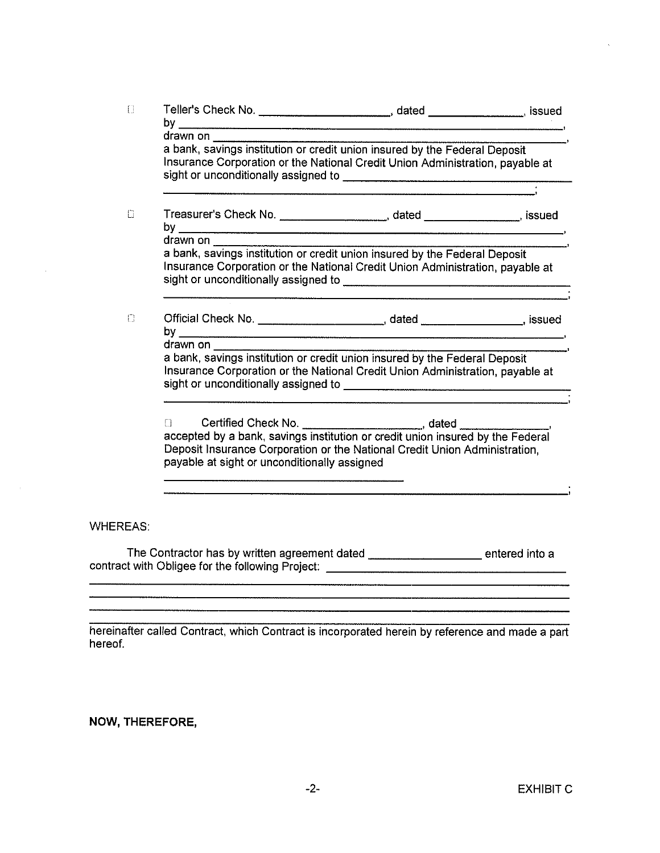| $\Box$          |                                              |                                                                                                                                                                                                                              |  |
|-----------------|----------------------------------------------|------------------------------------------------------------------------------------------------------------------------------------------------------------------------------------------------------------------------------|--|
|                 | drawn on                                     |                                                                                                                                                                                                                              |  |
|                 |                                              | a bank, savings institution or credit union insured by the Federal Deposit<br>Insurance Corporation or the National Credit Union Administration, payable at                                                                  |  |
|                 |                                              |                                                                                                                                                                                                                              |  |
| Ω               |                                              | Treasurer's Check No. _______________________, dated _______________, issued                                                                                                                                                 |  |
|                 | drawn on                                     |                                                                                                                                                                                                                              |  |
|                 |                                              | Insurance Corporation or the National Credit Union Administration, payable at                                                                                                                                                |  |
| $\Box$          |                                              | Official Check No. ____________________________, dated __________________, issued                                                                                                                                            |  |
|                 | drawn on                                     |                                                                                                                                                                                                                              |  |
|                 |                                              | a bank, savings institution or credit union insured by the Federal Deposit<br>Insurance Corporation or the National Credit Union Administration, payable at                                                                  |  |
|                 | payable at sight or unconditionally assigned | Certified Check No. ________________________, dated __________, accepted by a bank, savings institution or credit union insured by the Federal<br>Deposit Insurance Corporation or the National Credit Union Administration, |  |
|                 |                                              |                                                                                                                                                                                                                              |  |
|                 |                                              |                                                                                                                                                                                                                              |  |
| <b>WHEREAS:</b> |                                              |                                                                                                                                                                                                                              |  |
|                 |                                              | The Contractor has by written agreement dated ________________________ entered into a                                                                                                                                        |  |
|                 |                                              |                                                                                                                                                                                                                              |  |
|                 |                                              |                                                                                                                                                                                                                              |  |
|                 |                                              |                                                                                                                                                                                                                              |  |

hereinafter called Contract, which Contract is incorporated herein by reference and made a part hereof.

NOW, THEREFORE,

 $\sim$   $\sim$ 

 $\bar{z}$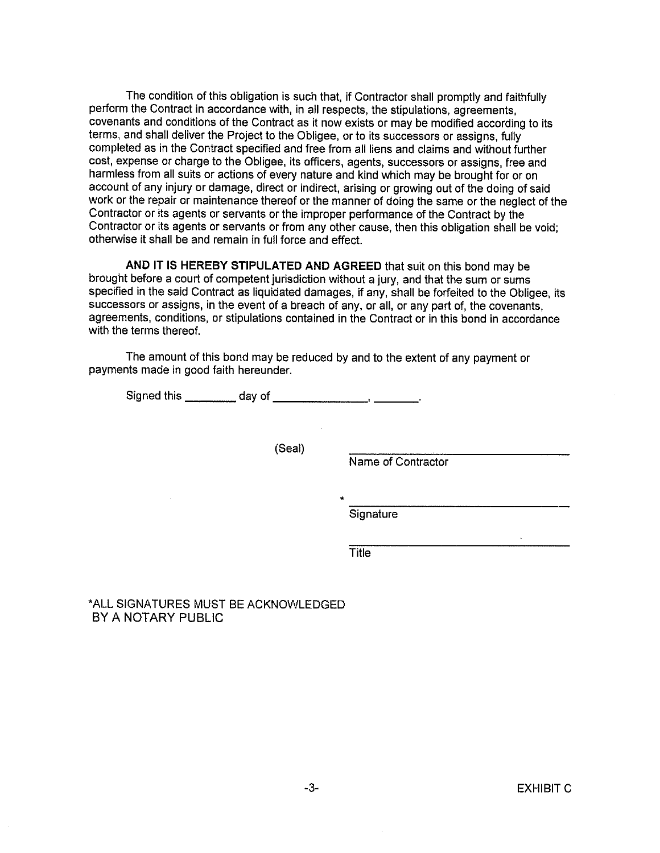The condition of this obligation is such that, if Contractor shall promptly and faithfully perform the Contract in accordance with, in all respects, the stipulations, agreements, covenants and conditions of the Contract as it now exists or may be modified according to its terms, and shall deliver the Project to the Obligee, or to its successors or assigns, fully completed as in the Contract specified and free from all liens and claims and without further cost, expense or charge to the Obligee, its officers, agents, successors or assigns, free and harmless from all suits or actions of every nature and kind which may be brought for or on account of any injury or damage, direct or indirect, arising or growing out of the doing of said work or the repair or maintenance thereof or the manner of doing the same or the neglect of the Contractor or its agents or servants or the improper performance of the Contract by the Contractor or its agents or servants or from any other cause, then this obligation shall be void: otherwise it shall be and remain in full force and effect.

AND IT IS HEREBY STIPULATED AND AGREED that suit on this bond may be brought before a court of competent jurisdiction without a jury, and that the sum or sums specified in the said Contract as liquidated damages, if any, shall be forfeited to the Obligee, its successors or assigns, in the event of a breach of any, or all, or any part of, the covenants, agreements, conditions, or stipulations contained in the Contract or in this bond in accordance with the terms thereof.

The amount of this bond may be reduced by and to the extent of any payment or payments made in good faith hereunder.

(Seal)

Name of Contractor

**Signature** 

Title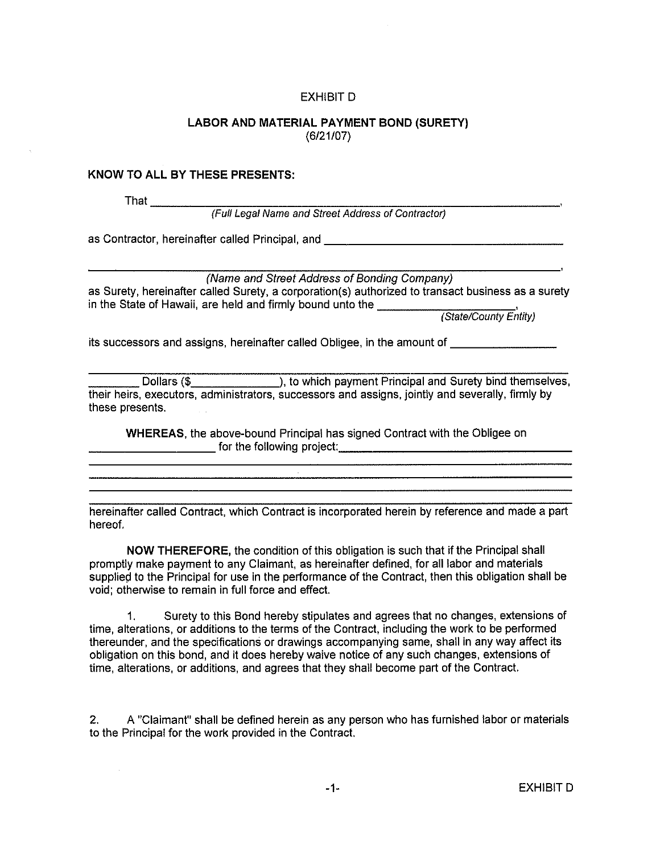## **EXHIBIT D**

## LABOR AND MATERIAL PAYMENT BOND (SURETY)  $(6/21/07)$

### **KNOW TO ALL BY THESE PRESENTS:**

That  $\equiv$ 

(Full Legal Name and Street Address of Contractor)

as Contractor, hereinafter called Principal, and **All Contractor** Contractor Contractor Contractor

(Name and Street Address of Bonding Company) as Surety, hereinafter called Surety, a corporation(s) authorized to transact business as a surety as Surety, hereinanter called outlety, a corporation of the  $\overline{ }$  (State/County Entity)

its successors and assigns, hereinafter called Obligee, in the amount of **Fig. 1. According to the set of the set** 

Dollars (\$ \_\_\_\_\_\_\_\_\_\_\_\_\_\_\_), to which payment Principal and Surety bind themselves, their heirs, executors, administrators, successors and assigns, jointly and severally, firmly by these presents.

WHEREAS, the above-bound Principal has signed Contract with the Obligee on for the following project:

hereinafter called Contract, which Contract is incorporated herein by reference and made a part hereof.

NOW THEREFORE, the condition of this obligation is such that if the Principal shall promptly make payment to any Claimant, as hereinafter defined, for all labor and materials supplied to the Principal for use in the performance of the Contract, then this obligation shall be void; otherwise to remain in full force and effect.

Surety to this Bond hereby stipulates and agrees that no changes, extensions of  $1.$ time, alterations, or additions to the terms of the Contract, including the work to be performed thereunder, and the specifications or drawings accompanying same, shall in any way affect its obligation on this bond, and it does hereby waive notice of any such changes, extensions of time, alterations, or additions, and agrees that they shall become part of the Contract.

A "Claimant" shall be defined herein as any person who has furnished labor or materials  $2.$ to the Principal for the work provided in the Contract.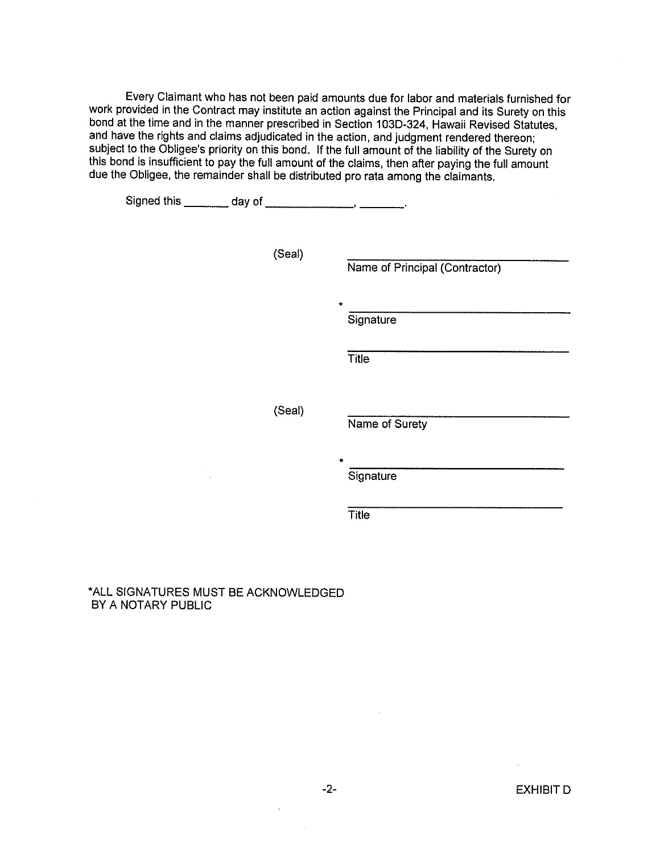Every Claimant who has not been paid amounts due for labor and materials furnished for work provided in the Contract may institute an action against the Principal and its Surety on this bond at the time and in the manner prescribed in Section 103D-324, Hawaii Revised Statutes, and have the rights and claims adjudicated in the action, and judgment rendered thereon; subject to the Obligee's priority on this bond. If the full amount of the liability of the Surety on this bond is insufficient to pay the full amount of the claims, then after paying the full amount due the Obligee, the remainder shall be distributed pro rata among the claimants.

| Signed this _________ day of _________________, ________. |        |                                |
|-----------------------------------------------------------|--------|--------------------------------|
|                                                           | (Seal) | Name of Principal (Contractor) |
|                                                           |        | $\star$<br>Signature           |
|                                                           |        | Title                          |
|                                                           | (Seal) | Name of Surety                 |
|                                                           |        | $\star$<br>Signature           |
|                                                           |        | <b>Title</b>                   |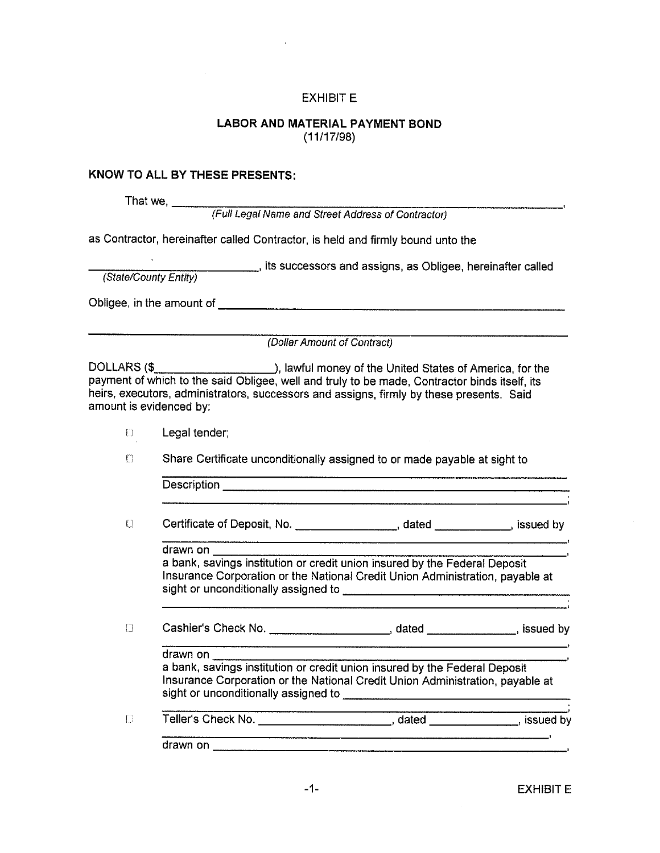## **EXHIBIT E**

## **LABOR AND MATERIAL PAYMENT BOND**  $(11/17/98)$

## KNOW TO ALL BY THESE PRESENTS:

That we,  $\frac{1}{1}$ 

(Full Legal Name and Street Address of Contractor)

as Contractor, hereinafter called Contractor, is held and firmly bound unto the

its successors and assigns, as Obligee, hereinafter called

(State/County Entity)

Obligee, in the amount of the state of the state of the state of the state of the state of the state of the state of the state of the state of the state of the state of the state of the state of the state of the state of t

(Dollar Amount of Contract)

DOLLARS (\$ **Manno 2010**), lawful money of the United States of America, for the payment of which to the said Obligee, well and truly to be made, Contractor binds itself, its heirs, executors, administrators, successors and assigns, firmly by these presents. Said amount is evidenced by:

|  | Legal tender; |
|--|---------------|
|  |               |

Share Certificate unconditionally assigned to or made payable at sight to  $\Box$ 

Description experience and the contract of the contract of the contract of the contract of the contract of the contract of the contract of the contract of the contract of the contract of the contract of the contract of the

Certificate of Deposit, No. \_\_\_\_\_\_\_\_\_\_\_\_\_\_\_\_\_\_\_, dated \_\_\_\_\_\_\_\_\_\_\_\_, issued by  $\Box$ 

drawn on **compared** 

a bank, savings institution or credit union insured by the Federal Deposit Insurance Corporation or the National Credit Union Administration, payable at 

 $\Box$ 

drawn on a bank, savings institution or credit union insured by the Federal Deposit Insurance Corporation or the National Credit Union Administration, payable at

 $\begin{bmatrix} 1 \\ 2 \end{bmatrix}$ Teller's Check No. \_\_\_\_\_\_\_\_\_\_\_\_\_\_\_\_\_\_\_\_\_\_\_\_\_, dated \_\_\_\_\_\_\_\_\_\_\_\_\_, issued by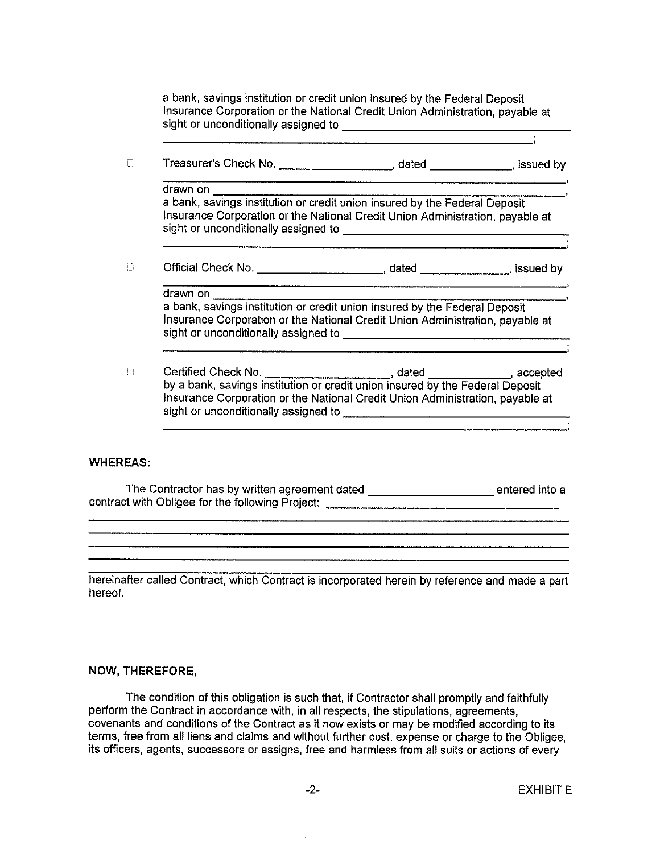a bank, savings institution or credit union insured by the Federal Deposit Insurance Corporation or the National Credit Union Administration, payable at 

Treasurer's Check No. \_\_\_\_\_\_\_\_\_\_\_\_\_\_\_\_\_\_\_\_\_\_\_\_\_, dated \_\_\_\_\_\_\_\_\_\_\_\_\_, issued by  $\Box$ 

drawn on a bank, savings institution or credit union insured by the Federal Deposit Insurance Corporation or the National Credit Union Administration, payable at 

 $\Box$ 

drawn on a bank, savings institution or credit union insured by the Federal Deposit Insurance Corporation or the National Credit Union Administration, payable at sight or unconditionally assigned to \_\_\_\_\_\_\_\_\_\_\_\_\_

 $\Box$ Insurance Corporation or the National Credit Union Administration, payable at 

## **WHEREAS:**

The Contractor has by written agreement dated \_\_\_\_\_\_\_\_\_\_\_\_\_\_\_\_\_\_\_\_\_\_\_\_\_\_\_\_entered into a contract with Obligee for the following Project: \_\_\_\_\_\_\_\_\_\_\_\_\_\_\_\_\_\_\_\_\_\_\_\_\_\_\_\_\_\_\_

hereinafter called Contract, which Contract is incorporated herein by reference and made a part hereof.

## NOW, THEREFORE,

The condition of this obligation is such that, if Contractor shall promptly and faithfully perform the Contract in accordance with, in all respects, the stipulations, agreements, covenants and conditions of the Contract as it now exists or may be modified according to its terms, free from all liens and claims and without further cost, expense or charge to the Obligee. its officers, agents, successors or assigns, free and harmless from all suits or actions of every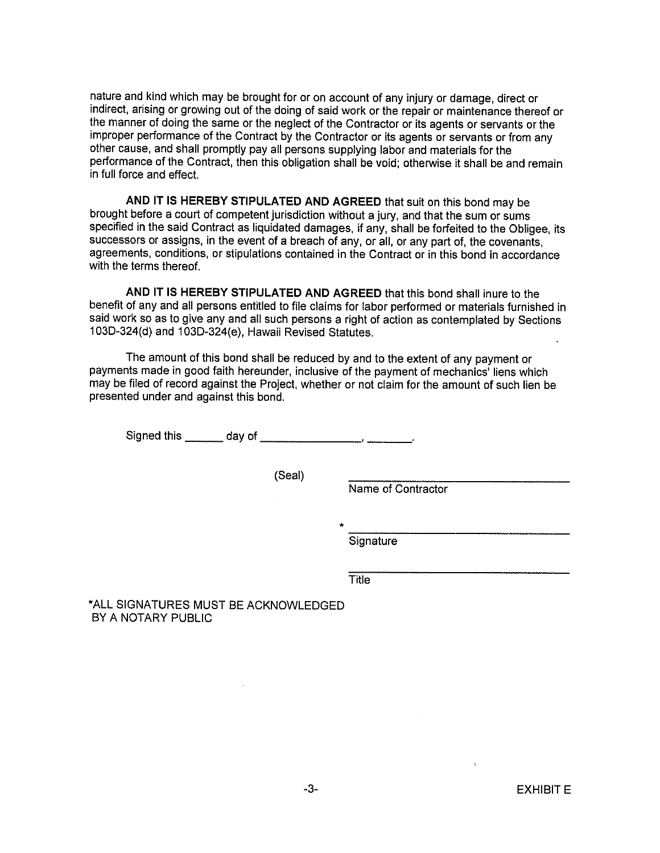nature and kind which may be brought for or on account of any injury or damage, direct or indirect, arising or growing out of the doing of said work or the repair or maintenance thereof or the manner of doing the same or the neglect of the Contractor or its agents or servants or the improper performance of the Contract by the Contractor or its agents or servants or from any other cause, and shall promptly pay all persons supplying labor and materials for the performance of the Contract, then this obligation shall be void; otherwise it shall be and remain in full force and effect.

AND IT IS HEREBY STIPULATED AND AGREED that suit on this bond may be brought before a court of competent jurisdiction without a jury, and that the sum or sums specified in the said Contract as liquidated damages, if any, shall be forfeited to the Obligee, its successors or assigns, in the event of a breach of any, or all, or any part of, the covenants, agreements, conditions, or stipulations contained in the Contract or in this bond in accordance with the terms thereof.

AND IT IS HEREBY STIPULATED AND AGREED that this bond shall inure to the benefit of any and all persons entitled to file claims for labor performed or materials furnished in said work so as to give any and all such persons a right of action as contemplated by Sections 103D-324(d) and 103D-324(e), Hawaii Revised Statutes.

The amount of this bond shall be reduced by and to the extent of any payment or payments made in good faith hereunder, inclusive of the payment of mechanics' liens which may be filed of record against the Project, whether or not claim for the amount of such lien be presented under and against this bond.

(Seal)

Name of Contractor

Signature

**Title**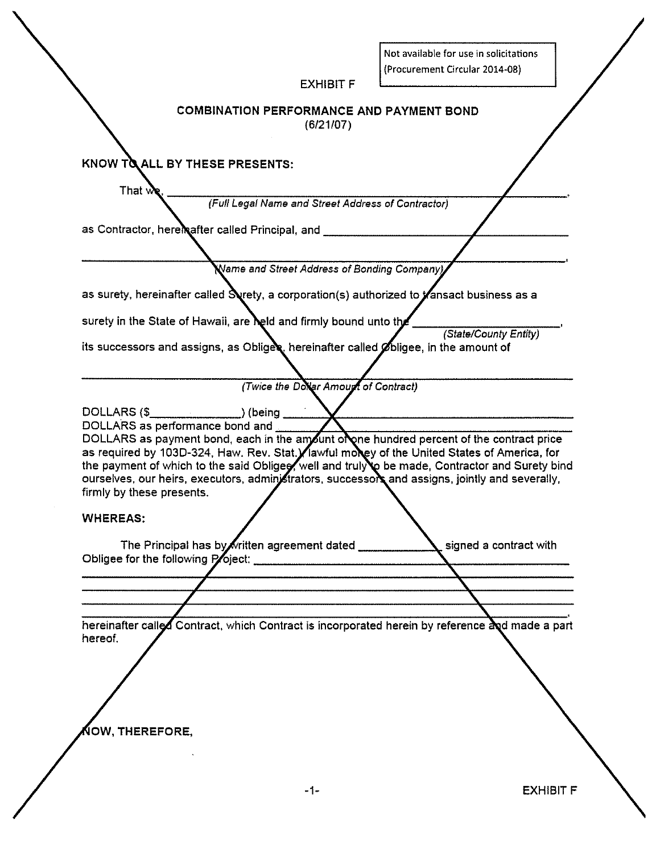$\sqrt{\frac{1}{N}}$  $\frac{1}{2}$ —————<br>Nicitatio  $\ddot{\phantom{0}}$ 

٦

|                                                              | Not available for use in solicitations<br>(Procurement Circular 2014-08)                                                                                                                                                                                                                                                                                                                       |  |
|--------------------------------------------------------------|------------------------------------------------------------------------------------------------------------------------------------------------------------------------------------------------------------------------------------------------------------------------------------------------------------------------------------------------------------------------------------------------|--|
|                                                              | <b>EXHIBIT F</b>                                                                                                                                                                                                                                                                                                                                                                               |  |
|                                                              | <b>COMBINATION PERFORMANCE AND PAYMENT BOND</b><br>(6/21/07)                                                                                                                                                                                                                                                                                                                                   |  |
| KNOW TO ALL BY THESE PRESENTS:                               |                                                                                                                                                                                                                                                                                                                                                                                                |  |
| That $w_i$                                                   |                                                                                                                                                                                                                                                                                                                                                                                                |  |
|                                                              | (Full Legal Name and Street Address of Contractor)                                                                                                                                                                                                                                                                                                                                             |  |
|                                                              | as Contractor, here nafter called Principal, and __________                                                                                                                                                                                                                                                                                                                                    |  |
|                                                              |                                                                                                                                                                                                                                                                                                                                                                                                |  |
|                                                              | Name and Street Address of Bonding Company)                                                                                                                                                                                                                                                                                                                                                    |  |
|                                                              | as surety, hereinafter called Syrety, a corporation(s) authorized to <i>f</i> ansact business as a                                                                                                                                                                                                                                                                                             |  |
|                                                              | surety in the State of Hawaii, are held and firmly bound unto the                                                                                                                                                                                                                                                                                                                              |  |
|                                                              | (State/County Entity)<br>its successors and assigns, as Obligex, hereinafter called $\not$ bligee, in the amount of                                                                                                                                                                                                                                                                            |  |
|                                                              | (Twice the Dollar Amount of Contract)                                                                                                                                                                                                                                                                                                                                                          |  |
|                                                              |                                                                                                                                                                                                                                                                                                                                                                                                |  |
| DOLLARS as performance bond and<br>firmly by these presents. | DOLLARS as payment bond, each in the amount of one hundred percent of the contract price<br>as required by 103D-324, Haw. Rev. Stat. / lawful money of the United States of America, for<br>the payment of which to the said Obliges, well and truly to be made, Contractor and Surety bind<br>ourselves, our heirs, executors, administrators, successors and assigns, jointly and severally, |  |
| <b>WHEREAS:</b>                                              |                                                                                                                                                                                                                                                                                                                                                                                                |  |
|                                                              | The Principal has by written agreement dated<br>signed a contract with<br>Obligee for the following Poject: Charles Contains a contact to the following Poject:                                                                                                                                                                                                                                |  |
|                                                              |                                                                                                                                                                                                                                                                                                                                                                                                |  |
|                                                              |                                                                                                                                                                                                                                                                                                                                                                                                |  |
| hereof.                                                      | hereinafter called Contract, which Contract is incorporated herein by reference and made a part                                                                                                                                                                                                                                                                                                |  |
|                                                              |                                                                                                                                                                                                                                                                                                                                                                                                |  |
| NOW, THEREFORE,                                              |                                                                                                                                                                                                                                                                                                                                                                                                |  |
|                                                              |                                                                                                                                                                                                                                                                                                                                                                                                |  |
|                                                              |                                                                                                                                                                                                                                                                                                                                                                                                |  |

**EXHIBIT F**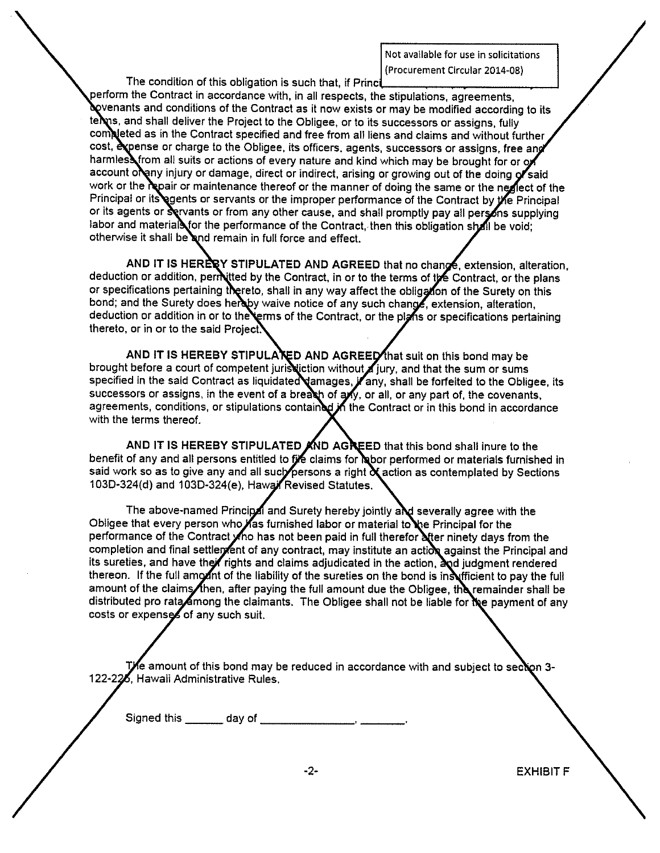Not available for use in solicitations (Procurement Circular 2014-08)

The condition of this obligation is such that, if Princi

perform the Contract in accordance with, in all respects, the stipulations, agreements, **Novenants and conditions of the Contract as it now exists or may be modified according to its** terms, and shall deliver the Project to the Obligee, or to its successors or assigns, fully completed as in the Contract specified and free from all liens and claims and without further cost, expense or charge to the Obligee, its officers, agents, successors or assigns, free ang harmless from all suits or actions of every nature and kind which may be brought for or or account oleny injury or damage, direct or indirect, arising or growing out of the doing of said work or the repair or maintenance thereof or the manner of doing the same or the neglect of the Principal or its gents or servants or the improper performance of the Contract by the Principal or its agents or Servants or from any other cause, and shall promptly pay all persons supplying labor and material for the performance of the Contract, then this obligation shall be void; otherwise it shall be and remain in full force and effect.

AND IT IS HERERY STIPULATED AND AGREED that no change, extension, alteration, deduction or addition, permitted by the Contract, in or to the terms of the Contract, or the plans or specifications pertaining thereto, shall in any way affect the obligation of the Surety on this bond; and the Surety does hereby waive notice of any such change, extension, alteration, deduction or addition in or to the terms of the Contract, or the plans or specifications pertaining thereto, or in or to the said Project.

AND IT IS HEREBY STIPULA KED AND AGREED that suit on this bond may be brought before a court of competent jurisdiction without jury, and that the sum or sums specified in the said Contract as liquidated amages, *j*any, shall be forfeited to the Obligee, its successors or assigns, in the event of a breakh of any, or all, or any part of, the covenants, agreements, conditions, or stipulations contained in the Contract or in this bond in accordance with the terms thereof.

AND IT IS HEREBY STIPULATED AND AGREED that this bond shall inure to the benefit of any and all persons entitled to file claims for habor performed or materials furnished in said work so as to give any and all such persons a right & action as contemplated by Sections 103D-324(d) and 103D-324(e), Hawai Revised Statutes.

The above-named Principal and Surety hereby jointly and severally agree with the Obligee that every person who has furnished labor or material to the Principal for the performance of the Contract on has not been paid in full therefor after ninety days from the completion and final settlement of any contract, may institute an action against the Principal and its sureties, and have their rights and claims adjudicated in the action, and judgment rendered thereon. If the full amount of the liability of the sureties on the bond is insufficient to pay the full amount of the claims fiben, after paying the full amount due the Obligee, the remainder shall be distributed pro rata Among the claimants. The Obligee shall not be liable for the payment of any costs or expenses of any such suit.

The amount of this bond may be reduced in accordance with and subject to section 3-122-226, Hawaii Administrative Rules.

**EXHIBIT F**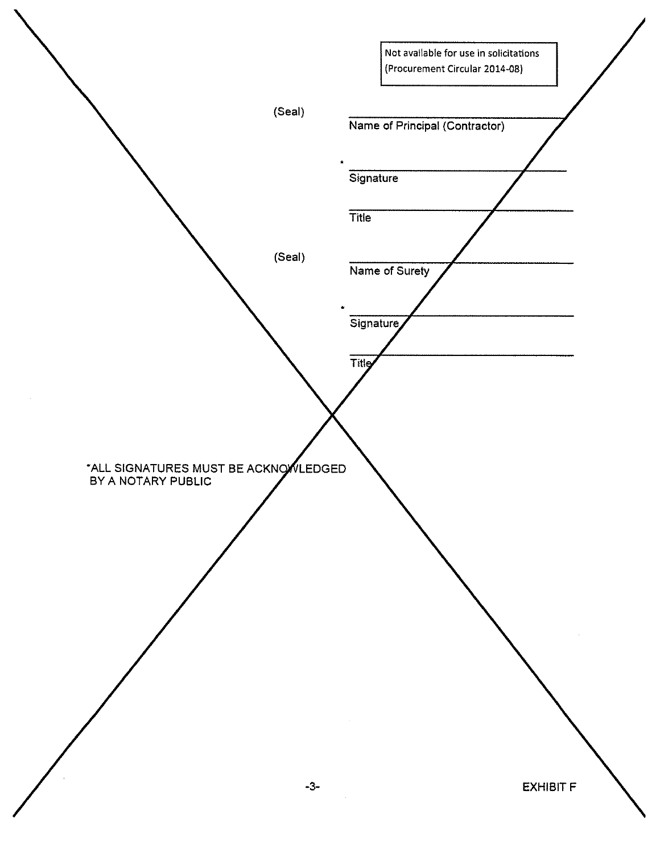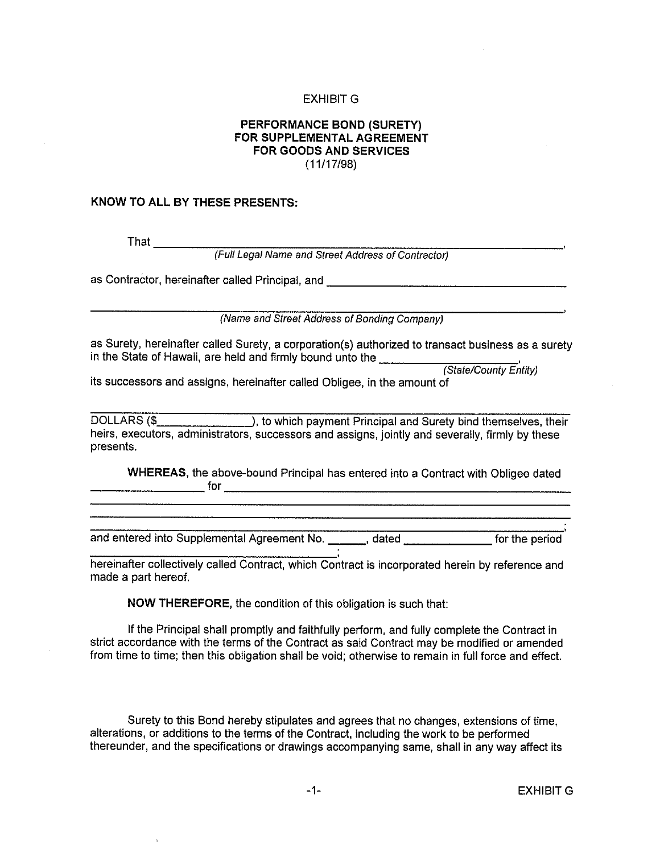### **EXHIBIT G**

## PERFORMANCE BOND (SURETY) FOR SUPPLEMENTAL AGREEMENT **FOR GOODS AND SERVICES**  $(11/17/98)$

### KNOW TO ALL BY THESE PRESENTS:

That  $\frac{1}{2}$ 

(Full Legal Name and Street Address of Contractor)

as Contractor, hereinafter called Principal, and **contract and the contract of the contract of the contract of the contract of the contract of the contract of the contract of the contract of the contract of the contract of** 

(Name and Street Address of Bonding Company)

as Surety, hereinafter called Surety, a corporation(s) authorized to transact business as a surety in the State of Hawaii, are held and firmly bound unto the

(State/County Entity)

its successors and assigns, hereinafter called Obligee, in the amount of

heirs, executors, administrators, successors and assigns, jointly and severally, firmly by these presents.

WHEREAS, the above-bound Principal has entered into a Contract with Obligee dated 

hereinafter collectively called Contract, which Contract is incorporated herein by reference and made a part hereof.

NOW THEREFORE, the condition of this obligation is such that:

If the Principal shall promptly and faithfully perform, and fully complete the Contract in strict accordance with the terms of the Contract as said Contract may be modified or amended from time to time; then this obligation shall be void; otherwise to remain in full force and effect.

Surety to this Bond hereby stipulates and agrees that no changes, extensions of time, alterations, or additions to the terms of the Contract, including the work to be performed thereunder, and the specifications or drawings accompanying same, shall in any way affect its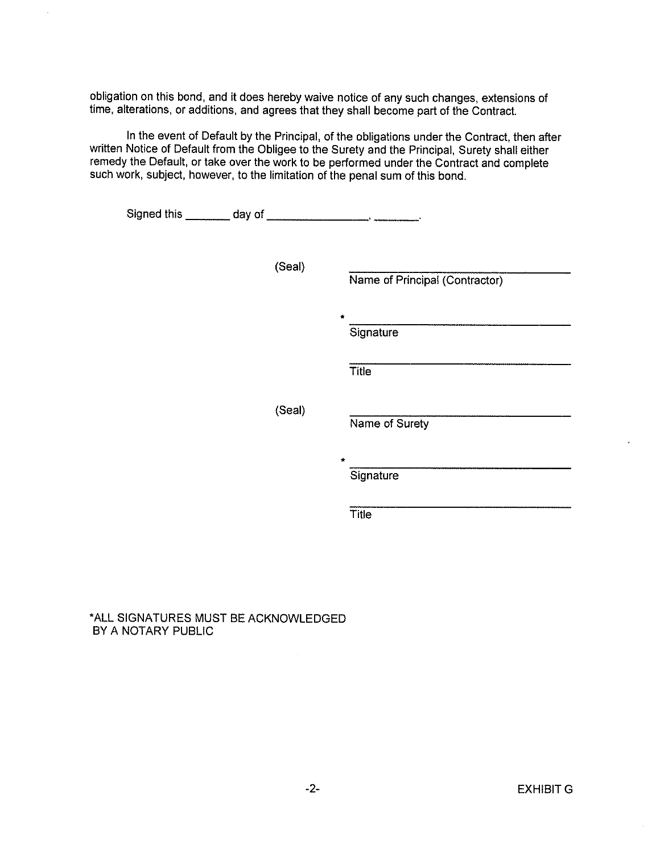obligation on this bond, and it does hereby waive notice of any such changes, extensions of time, alterations, or additions, and agrees that they shall become part of the Contract.

i,

In the event of Default by the Principal, of the obligations under the Contract, then after written Notice of Default from the Obligee to the Surety and the Principal, Surety shall either remedy the Default, or take over the work to be performed under the Contract and complete such work, subject, however, to the limitation of the penal sum of this bond.

| (Seal) | Name of Principal (Contractor) |
|--------|--------------------------------|
|        | Signature                      |
|        | Title                          |
| (Seal) | Name of Surety                 |
|        | ÷<br>Signature                 |
|        | Title                          |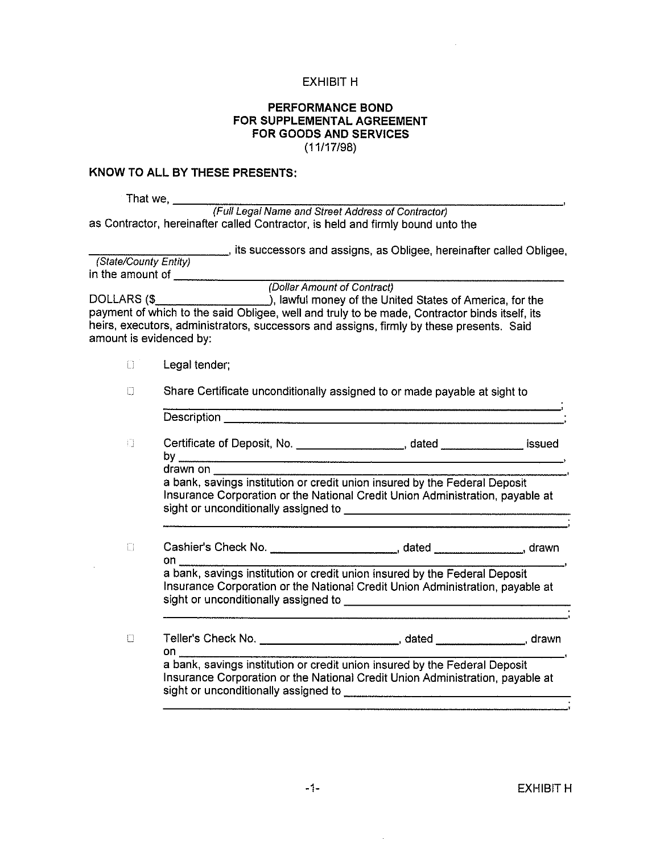### **EXHIBIT H**

### PERFORMANCE BOND FOR SUPPLEMENTAL AGREEMENT **FOR GOODS AND SERVICES**  $(11/17/98)$

#### KNOW TO ALL BY THESE PRESENTS:

That we,  $\_\$ 

(Full Legal Name and Street Address of Contractor) as Contractor, hereinafter called Contractor, is held and firmly bound unto the

tis successors and assigns, as Obligee, hereinafter called Obligee. (State/County Entity) in the amount of

(Dollar Amount of Contract)

DOLLARS (\$\_\_\_\_\_\_\_\_\_\_\_\_\_\_\_\_\_\_\_\_\_\_\_), lawful money of the United States of America, for the payment of which to the said Obligee, well and truly to be made, Contractor binds itself, its heirs, executors, administrators, successors and assigns, firmly by these presents. Said amount is evidenced by:

- $\Box$ Legal tender;
- $\Box$ Share Certificate unconditionally assigned to or made payable at sight to

|                                                                                                               | Certificate of Deposit, No. ___________________, dated ______________ issued  |  |
|---------------------------------------------------------------------------------------------------------------|-------------------------------------------------------------------------------|--|
|                                                                                                               |                                                                               |  |
| drawn on                                                                                                      | a bank, savings institution or credit union insured by the Federal Deposit    |  |
|                                                                                                               |                                                                               |  |
|                                                                                                               | Insurance Corporation or the National Credit Union Administration, payable at |  |
| on and the set of the set of the set of the set of the set of the set of the set of the set of the set of the |                                                                               |  |

 $\Box$ on a bank, savings institution or credit union insured by the Federal Deposit Insurance Corporation or the National Credit Union Administration, payable at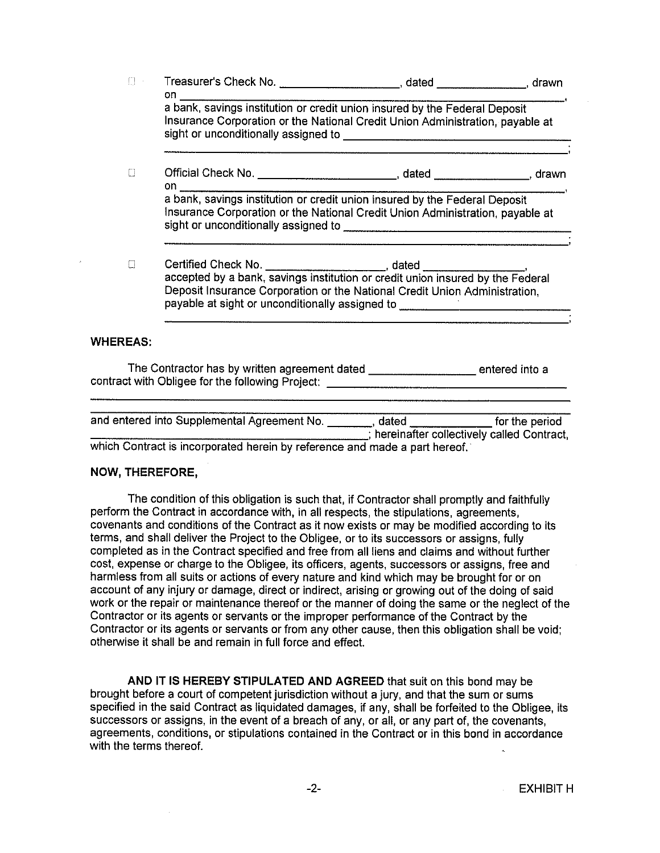| $\Box$ .        | on a complete the control of the control of the control of the control of the control of the control of the co |                                                                                                                                                                |  |
|-----------------|----------------------------------------------------------------------------------------------------------------|----------------------------------------------------------------------------------------------------------------------------------------------------------------|--|
|                 |                                                                                                                | a bank, savings institution or credit union insured by the Federal Deposit<br>Insurance Corporation or the National Credit Union Administration, payable at    |  |
| O               |                                                                                                                |                                                                                                                                                                |  |
|                 |                                                                                                                | Insurance Corporation or the National Credit Union Administration, payable at                                                                                  |  |
| $\Box$          |                                                                                                                | Deposit Insurance Corporation or the National Credit Union Administration,<br>payable at sight or unconditionally assigned to ________________________________ |  |
| <b>WHEREAS:</b> |                                                                                                                |                                                                                                                                                                |  |

The Contractor has by written agreement dated \_\_\_\_\_\_\_\_\_\_\_\_\_\_\_\_\_\_\_ entered into a contract with Obligee for the following Project: \_\_\_\_\_\_\_\_\_\_\_\_\_\_\_\_

| and entered into Supplemental Agreement No.                                | dated | for the period                              |
|----------------------------------------------------------------------------|-------|---------------------------------------------|
|                                                                            |       | ; hereinafter collectively called Contract, |
| which Contract is incorporated herein by reference and made a part hereof. |       |                                             |

### **NOW, THEREFORE,**

The condition of this obligation is such that, if Contractor shall promptly and faithfully perform the Contract in accordance with, in all respects, the stipulations, agreements, covenants and conditions of the Contract as it now exists or may be modified according to its terms, and shall deliver the Project to the Obligee, or to its successors or assigns, fully completed as in the Contract specified and free from all liens and claims and without further cost, expense or charge to the Obligee, its officers, agents, successors or assigns, free and harmless from all suits or actions of every nature and kind which may be brought for or on account of any injury or damage, direct or indirect, arising or growing out of the doing of said work or the repair or maintenance thereof or the manner of doing the same or the neglect of the Contractor or its agents or servants or the improper performance of the Contract by the Contractor or its agents or servants or from any other cause, then this obligation shall be void: otherwise it shall be and remain in full force and effect.

AND IT IS HEREBY STIPULATED AND AGREED that suit on this bond may be brought before a court of competent jurisdiction without a jury, and that the sum or sums specified in the said Contract as liquidated damages, if any, shall be forfeited to the Obligee, its successors or assigns, in the event of a breach of any, or all, or any part of, the covenants, agreements, conditions, or stipulations contained in the Contract or in this bond in accordance with the terms thereof.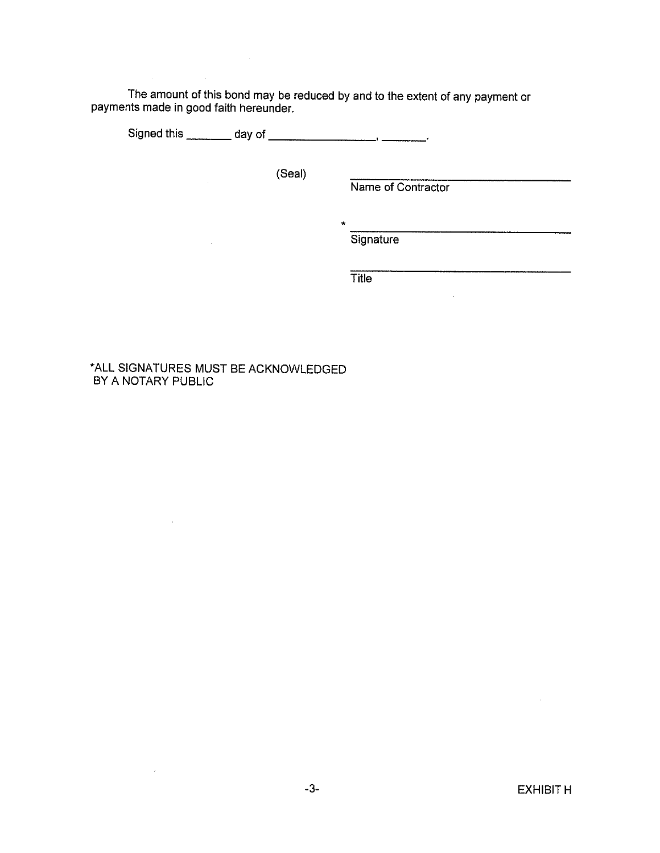The amount of this bond may be reduced by and to the extent of any payment or payments made in good faith hereunder.

(Seal)

Name of Contractor

 $\frac{1}{1}$  . The components of  $\frac{1}{1}$  ,  $\frac{1}{1}$  ,  $\frac{1}{1}$  ,  $\frac{1}{1}$  ,  $\frac{1}{1}$  ,  $\frac{1}{1}$  ,  $\frac{1}{1}$  ,  $\frac{1}{1}$  ,  $\frac{1}{1}$  ,  $\frac{1}{1}$  ,  $\frac{1}{1}$  ,  $\frac{1}{1}$  ,  $\frac{1}{1}$  ,  $\frac{1}{1}$  ,  $\frac{1}{1}$  ,  $\frac{1}{1}$  ,

Signature

Title

## \*ALL SIGNATURES MUST BE ACKNOWLEDGED BY A NOTARY PUBLIC

 $\sim 10^7$ 

 $\sim 10^{-1}$ 

 $\bar{A}$ 

 $\mathcal{L}_{\mathcal{A}}$ 

 $\bar{x}$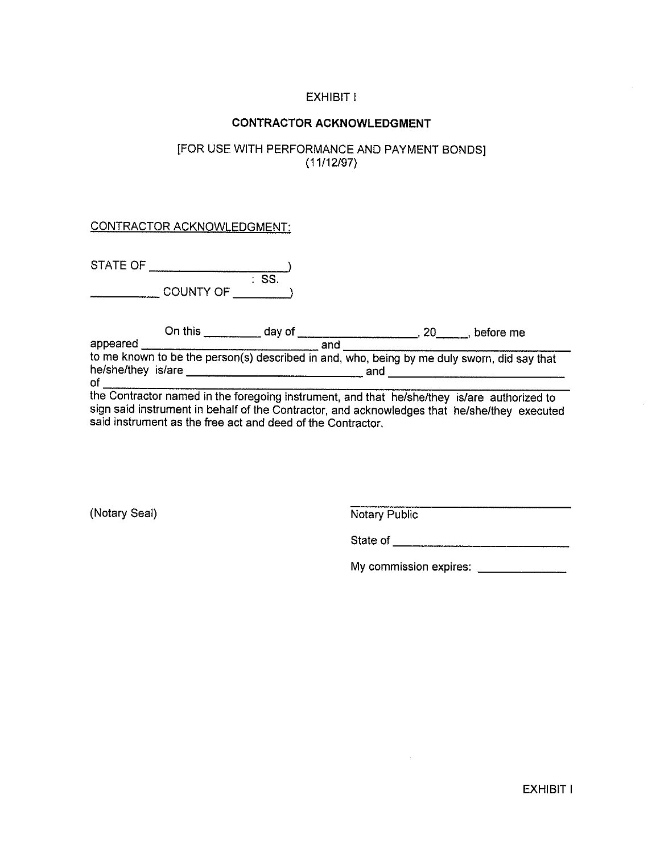# **EXHIBIT I**

## **CONTRACTOR ACKNOWLEDGMENT**

## [FOR USE WITH PERFORMANCE AND PAYMENT BONDS]  $(11/12/97)$

## **CONTRACTOR ACKNOWLEDGMENT:**

| STATE OF |           |      |
|----------|-----------|------|
|          |           | -SS. |
|          | COUNTY OF |      |

|                    | On this                                                                                     | dav of |     | before me |
|--------------------|---------------------------------------------------------------------------------------------|--------|-----|-----------|
| appeared           |                                                                                             | and    |     |           |
|                    | to me known to be the person(s) described in and, who, being by me duly sworn, did say that |        |     |           |
| he/she/they is/are |                                                                                             |        | and |           |
| оf                 |                                                                                             |        |     |           |

the Contractor named in the foregoing instrument, and that he/she/they is/are authorized to sign said instrument in behalf of the Contractor, and acknowledges that he/she/they executed<br>said instrument as the free act and deed of the Contractor.

(Notary Seal)

Notary Public

My commission expires: \_\_\_\_\_\_\_\_\_\_\_\_\_\_

**EXHIBIT I**